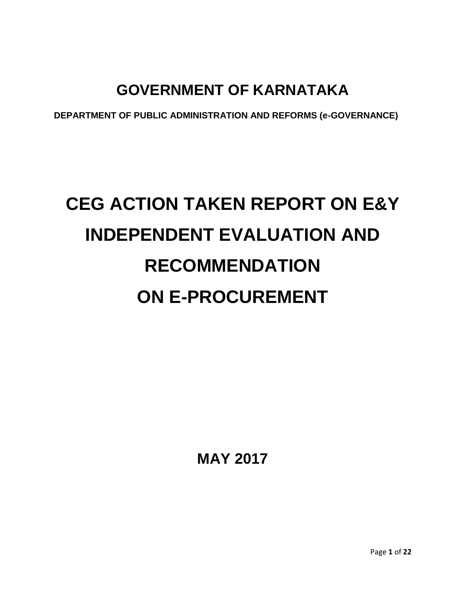### **GOVERNMENT OF KARNATAKA**

**DEPARTMENT OF PUBLIC ADMINISTRATION AND REFORMS (e-GOVERNANCE)**

# **CEG ACTION TAKEN REPORT ON E&Y INDEPENDENT EVALUATION AND RECOMMENDATION ON E-PROCUREMENT**

**MAY 2017**

Page **1** of **22**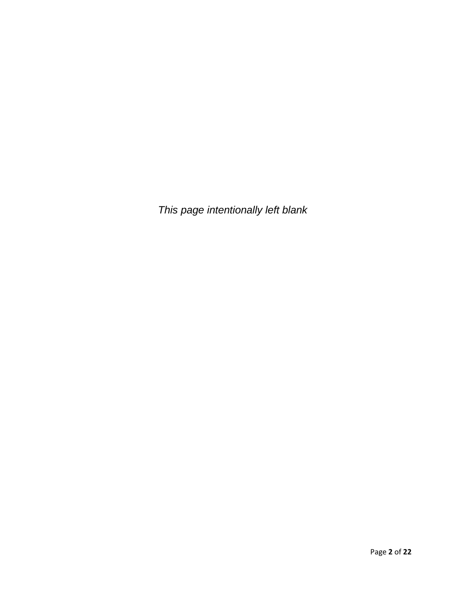*This page intentionally left blank*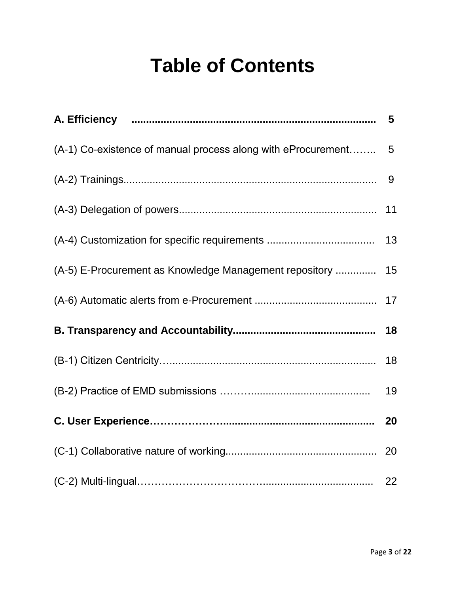## **Table of Contents**

| (A-1) Co-existence of manual process along with eProcurement 5 |    |
|----------------------------------------------------------------|----|
|                                                                |    |
|                                                                |    |
|                                                                | 13 |
| (A-5) E-Procurement as Knowledge Management repository         | 15 |
|                                                                |    |
|                                                                |    |
|                                                                | 18 |
|                                                                | 19 |
|                                                                |    |
|                                                                |    |
|                                                                |    |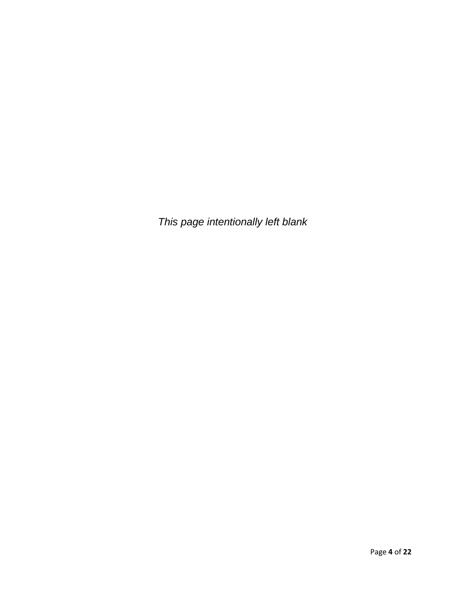*This page intentionally left blank*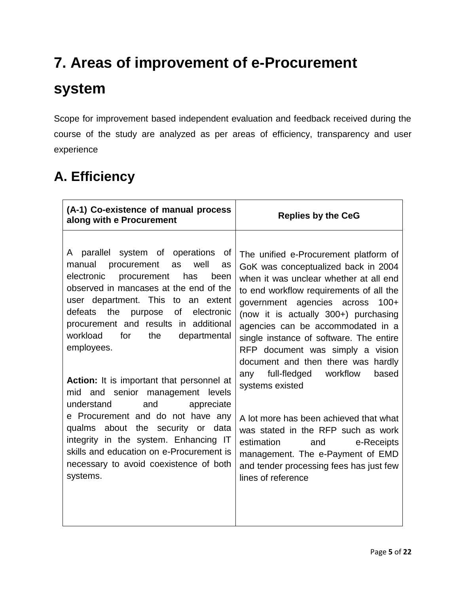### **7. Areas of improvement of e-Procurement**

### **system**

Scope for improvement based independent evaluation and feedback received during the course of the study are analyzed as per areas of efficiency, transparency and user experience

### **A. Efficiency**

| (A-1) Co-existence of manual process<br>along with e Procurement                                                                                                                                                                                                                                                                                                 | <b>Replies by the CeG</b>                                                                                                                                                                                                                                                                                                                                                                                                                                                                                                                                                                                                                                                                          |
|------------------------------------------------------------------------------------------------------------------------------------------------------------------------------------------------------------------------------------------------------------------------------------------------------------------------------------------------------------------|----------------------------------------------------------------------------------------------------------------------------------------------------------------------------------------------------------------------------------------------------------------------------------------------------------------------------------------------------------------------------------------------------------------------------------------------------------------------------------------------------------------------------------------------------------------------------------------------------------------------------------------------------------------------------------------------------|
| parallel system of operations of<br>A<br>manual<br>well<br>procurement<br>as<br>as<br>electronic<br>procurement<br>has<br>been<br>observed in mancases at the end of the<br>user department. This to an extent<br>of<br>purpose<br>electronic<br>defeats<br>the<br>procurement and results in additional<br>workload<br>for<br>the<br>departmental<br>employees. | The unified e-Procurement platform of<br>GoK was conceptualized back in 2004<br>when it was unclear whether at all end<br>to end workflow requirements of all the<br>government agencies across<br>$100+$<br>(now it is actually 300+) purchasing<br>agencies can be accommodated in a<br>single instance of software. The entire<br>RFP document was simply a vision<br>document and then there was hardly<br>workflow<br>full-fledged<br>based<br>any<br>systems existed<br>A lot more has been achieved that what<br>was stated in the RFP such as work<br>estimation<br>e-Receipts<br>and<br>management. The e-Payment of EMD<br>and tender processing fees has just few<br>lines of reference |
| <b>Action:</b> It is important that personnel at<br>mid and senior management levels<br>understand<br>and<br>appreciate<br>e Procurement and do not have any<br>qualms about the security or data<br>integrity in the system. Enhancing IT<br>skills and education on e-Procurement is<br>necessary to avoid coexistence of both<br>systems.                     |                                                                                                                                                                                                                                                                                                                                                                                                                                                                                                                                                                                                                                                                                                    |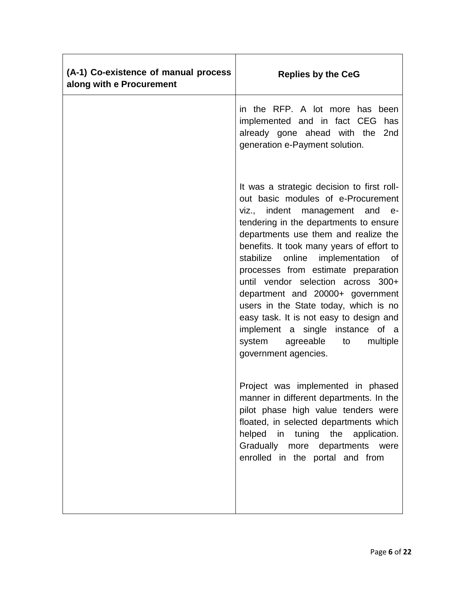| (A-1) Co-existence of manual process<br>along with e Procurement | <b>Replies by the CeG</b>                                                                                                                                                                                                                                                                                                                                                                                                                                                                                                                                                                                    |
|------------------------------------------------------------------|--------------------------------------------------------------------------------------------------------------------------------------------------------------------------------------------------------------------------------------------------------------------------------------------------------------------------------------------------------------------------------------------------------------------------------------------------------------------------------------------------------------------------------------------------------------------------------------------------------------|
|                                                                  | in the RFP. A lot more has been<br>implemented and in fact CEG<br>has<br>already gone ahead with the<br>2nd<br>generation e-Payment solution.                                                                                                                                                                                                                                                                                                                                                                                                                                                                |
|                                                                  | It was a strategic decision to first roll-<br>out basic modules of e-Procurement<br>viz., indent management and<br>- e-<br>tendering in the departments to ensure<br>departments use them and realize the<br>benefits. It took many years of effort to<br>implementation<br>stabilize online<br>of<br>processes from estimate preparation<br>until vendor selection across 300+<br>department and 20000+ government<br>users in the State today, which is no<br>easy task. It is not easy to design and<br>implement a single instance of a<br>system<br>agreeable<br>to<br>multiple<br>government agencies. |
|                                                                  | Project was implemented in phased<br>manner in different departments. In the<br>pilot phase high value tenders were<br>floated, in selected departments which<br>helped<br>in tuning the application.<br>Gradually more departments were<br>enrolled in the portal and from                                                                                                                                                                                                                                                                                                                                  |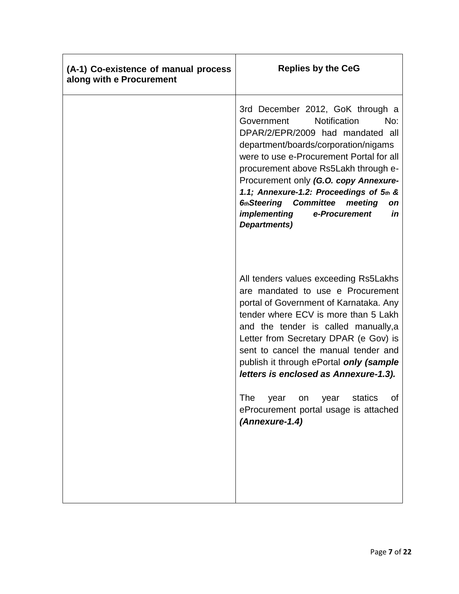| (A-1) Co-existence of manual process<br>along with e Procurement | <b>Replies by the CeG</b>                                                                                                                                                                                                                                                                                                                                                                                                                           |
|------------------------------------------------------------------|-----------------------------------------------------------------------------------------------------------------------------------------------------------------------------------------------------------------------------------------------------------------------------------------------------------------------------------------------------------------------------------------------------------------------------------------------------|
|                                                                  | 3rd December 2012, GoK through a<br>Government<br><b>Notification</b><br>No:<br>DPAR/2/EPR/2009 had mandated all<br>department/boards/corporation/nigams<br>were to use e-Procurement Portal for all<br>procurement above Rs5Lakh through e-<br>Procurement only (G.O. copy Annexure-<br>1.1; Annexure-1.2: Proceedings of 5th &<br><b>6thSteering Committee meeting</b><br>on<br><i>implementing</i><br>e-Procurement<br>in<br><b>Departments)</b> |
|                                                                  | All tenders values exceeding Rs5Lakhs<br>are mandated to use e Procurement<br>portal of Government of Karnataka. Any<br>tender where ECV is more than 5 Lakh<br>and the tender is called manually, a<br>Letter from Secretary DPAR (e Gov) is<br>sent to cancel the manual tender and<br>publish it through ePortal only (sample<br>letters is enclosed as Annexure-1.3).                                                                           |
|                                                                  | The<br>statics<br>year<br>on<br>year<br>οf<br>eProcurement portal usage is attached<br>(Annexure-1.4)                                                                                                                                                                                                                                                                                                                                               |
|                                                                  |                                                                                                                                                                                                                                                                                                                                                                                                                                                     |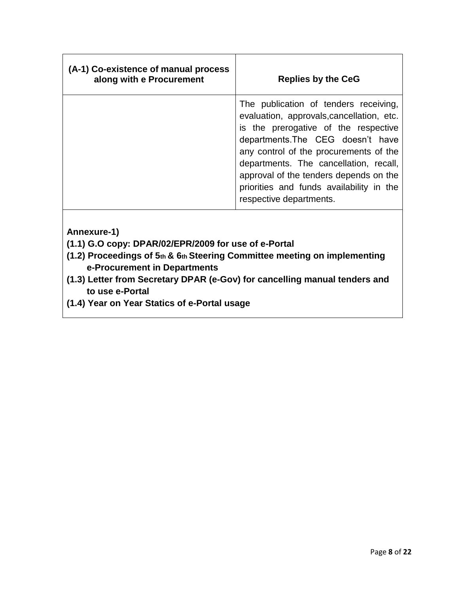| (A-1) Co-existence of manual process<br>along with e Procurement | <b>Replies by the CeG</b>                                                                                                                                                                                                                                                                                                                                            |
|------------------------------------------------------------------|----------------------------------------------------------------------------------------------------------------------------------------------------------------------------------------------------------------------------------------------------------------------------------------------------------------------------------------------------------------------|
|                                                                  | The publication of tenders receiving,<br>evaluation, approvals, cancellation, etc.<br>is the prerogative of the respective<br>departments. The CEG doesn't have<br>any control of the procurements of the<br>departments. The cancellation, recall,<br>approval of the tenders depends on the<br>priorities and funds availability in the<br>respective departments. |

#### **Annexure-1)**

**(1.1) G.O copy: DPAR/02/EPR/2009 for use of e-Portal**

**(1.2) Proceedings of 5th & 6th Steering Committee meeting on implementing e-Procurement in Departments**

**(1.3) Letter from Secretary DPAR (e-Gov) for cancelling manual tenders and to use e-Portal**

**(1.4) Year on Year Statics of e-Portal usage**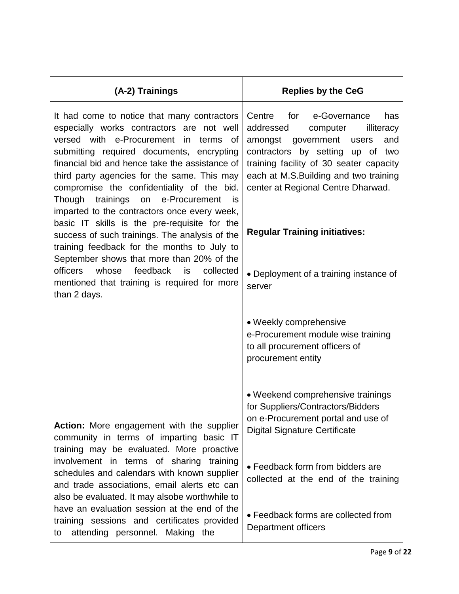| (A-2) Trainings                                                                                                                                                                                                                                                                                                                                                                  | <b>Replies by the CeG</b>                                                                                                                                                                                                                                                  |
|----------------------------------------------------------------------------------------------------------------------------------------------------------------------------------------------------------------------------------------------------------------------------------------------------------------------------------------------------------------------------------|----------------------------------------------------------------------------------------------------------------------------------------------------------------------------------------------------------------------------------------------------------------------------|
| It had come to notice that many contractors<br>especially works contractors are not well<br>versed with e-Procurement<br>in<br>terms of<br>submitting required documents, encrypting<br>financial bid and hence take the assistance of<br>third party agencies for the same. This may<br>compromise the confidentiality of the bid.<br>Though trainings on e-Procurement<br>is i | Centre for e-Governance<br>has<br>addressed<br>computer<br>illiteracy<br>amongst government<br>and<br>users<br>contractors by setting up of two<br>training facility of 30 seater capacity<br>each at M.S. Building and two training<br>center at Regional Centre Dharwad. |
| imparted to the contractors once every week,<br>basic IT skills is the pre-requisite for the<br>success of such trainings. The analysis of the<br>training feedback for the months to July to                                                                                                                                                                                    | <b>Regular Training initiatives:</b>                                                                                                                                                                                                                                       |
| September shows that more than 20% of the<br>feedback<br>officers<br>whose<br>is collected<br>mentioned that training is required for more<br>than 2 days.                                                                                                                                                                                                                       | • Deployment of a training instance of<br>server                                                                                                                                                                                                                           |
|                                                                                                                                                                                                                                                                                                                                                                                  | • Weekly comprehensive<br>e-Procurement module wise training<br>to all procurement officers of<br>procurement entity                                                                                                                                                       |
| Action: More engagement with the supplier<br>community in terms of imparting basic IT                                                                                                                                                                                                                                                                                            | • Weekend comprehensive trainings<br>for Suppliers/Contractors/Bidders<br>on e-Procurement portal and use of<br><b>Digital Signature Certificate</b>                                                                                                                       |
| training may be evaluated. More proactive<br>involvement in terms of sharing training<br>schedules and calendars with known supplier<br>and trade associations, email alerts etc can<br>also be evaluated. It may alsobe worthwhile to                                                                                                                                           | • Feedback form from bidders are<br>collected at the end of the training                                                                                                                                                                                                   |
| have an evaluation session at the end of the<br>training sessions and certificates provided<br>attending personnel. Making the<br>to                                                                                                                                                                                                                                             | • Feedback forms are collected from<br>Department officers                                                                                                                                                                                                                 |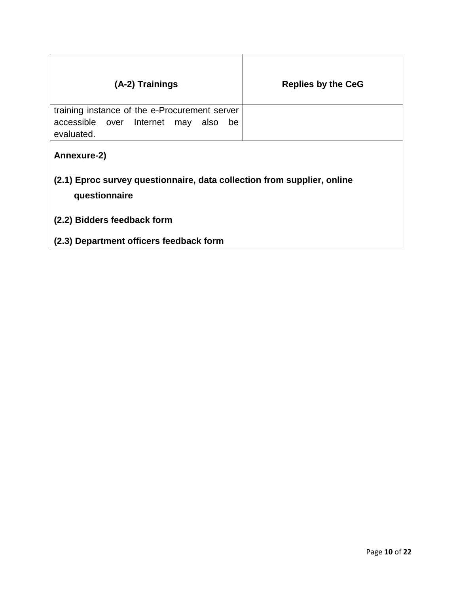| (A-2) Trainings                                                                          | <b>Replies by the CeG</b> |
|------------------------------------------------------------------------------------------|---------------------------|
| training instance of the e-Procurement server                                            |                           |
| accessible over Internet<br>also<br>be<br>may                                            |                           |
| evaluated.                                                                               |                           |
| Annexure-2)                                                                              |                           |
| (2.1) Eproc survey questionnaire, data collection from supplier, online<br>questionnaire |                           |
| (2.2) Bidders feedback form                                                              |                           |
| (2.3) Department officers feedback form                                                  |                           |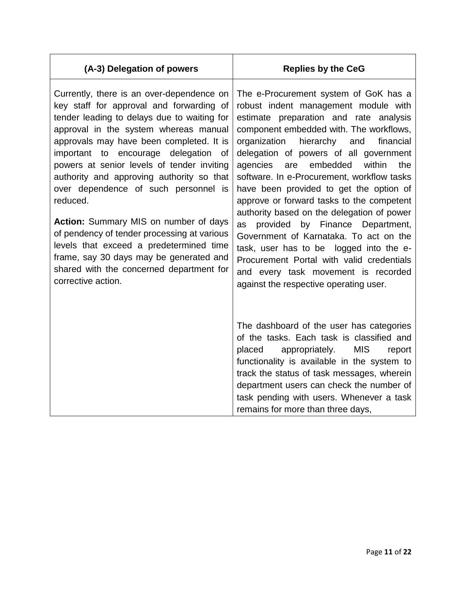| <b>(A-3) Delegation of bowers</b>                                                                                                                                                                                                                                                                                                                                                                                                                                                                                                                                                                                                                                          | <b>U</b> Childs not the can                                                                                                                                                                                                                                                                                                                                                                                                                                                                                                                                                                                                                                                                                                                             |
|----------------------------------------------------------------------------------------------------------------------------------------------------------------------------------------------------------------------------------------------------------------------------------------------------------------------------------------------------------------------------------------------------------------------------------------------------------------------------------------------------------------------------------------------------------------------------------------------------------------------------------------------------------------------------|---------------------------------------------------------------------------------------------------------------------------------------------------------------------------------------------------------------------------------------------------------------------------------------------------------------------------------------------------------------------------------------------------------------------------------------------------------------------------------------------------------------------------------------------------------------------------------------------------------------------------------------------------------------------------------------------------------------------------------------------------------|
| Currently, there is an over-dependence on<br>key staff for approval and forwarding of<br>tender leading to delays due to waiting for<br>approval in the system whereas manual<br>approvals may have been completed. It is<br>important to encourage delegation<br>of<br>powers at senior levels of tender inviting<br>authority and approving authority so that<br>over dependence of such personnel is<br>reduced.<br><b>Action:</b> Summary MIS on number of days<br>of pendency of tender processing at various<br>levels that exceed a predetermined time<br>frame, say 30 days may be generated and<br>shared with the concerned department for<br>corrective action. | The e-Procurement system of GoK has a<br>robust indent management module with<br>estimate preparation and rate analysis<br>component embedded with. The workflows,<br>organization<br>hierarchy and<br>financial<br>delegation of powers of all government<br>are embedded<br>within<br>the<br>agencies<br>software. In e-Procurement, workflow tasks<br>have been provided to get the option of<br>approve or forward tasks to the competent<br>authority based on the delegation of power<br>provided by Finance Department,<br>as<br>Government of Karnataka. To act on the<br>task, user has to be logged into the e-<br>Procurement Portal with valid credentials<br>and every task movement is recorded<br>against the respective operating user. |
|                                                                                                                                                                                                                                                                                                                                                                                                                                                                                                                                                                                                                                                                            | The dashboard of the user has categories<br>of the tasks. Each task is classified and<br><b>MIS</b><br>placed<br>appropriately.<br>report<br>functionality is available in the system to<br>track the status of task messages, wherein<br>department users can check the number of<br>task pending with users. Whenever a task<br>remains for more than three days,                                                                                                                                                                                                                                                                                                                                                                                     |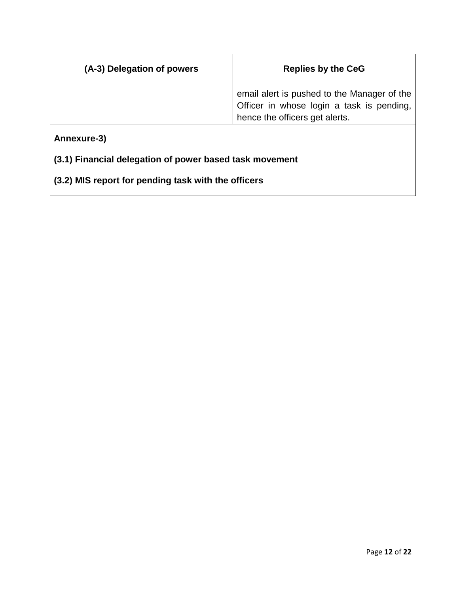| (A-3) Delegation of powers | <b>Replies by the CeG</b>                                                                                                  |
|----------------------------|----------------------------------------------------------------------------------------------------------------------------|
|                            | email alert is pushed to the Manager of the<br>Officer in whose login a task is pending,<br>hence the officers get alerts. |
|                            |                                                                                                                            |

#### **Annexure-3)**

**(3.1) Financial delegation of power based task movement**

### **(3.2) MIS report for pending task with the officers**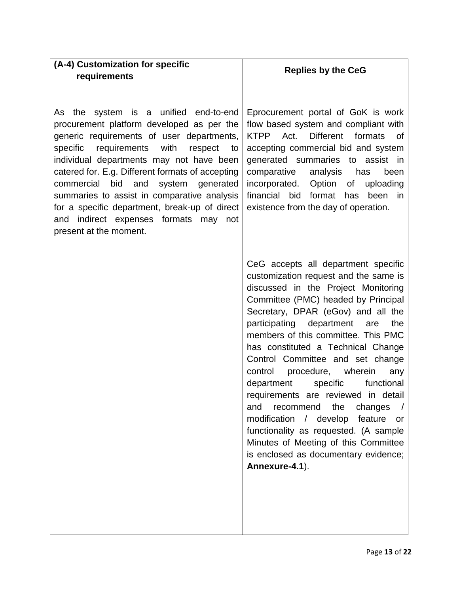| (A-4) Customization for specific                                                                                                                                                                                                                                                                                                                                                                                                                                                                     | <b>Replies by the CeG</b>                                                                                                                                                                                                                                                                                                                                                                                                                                                                                                                                                                                                                                                                                |
|------------------------------------------------------------------------------------------------------------------------------------------------------------------------------------------------------------------------------------------------------------------------------------------------------------------------------------------------------------------------------------------------------------------------------------------------------------------------------------------------------|----------------------------------------------------------------------------------------------------------------------------------------------------------------------------------------------------------------------------------------------------------------------------------------------------------------------------------------------------------------------------------------------------------------------------------------------------------------------------------------------------------------------------------------------------------------------------------------------------------------------------------------------------------------------------------------------------------|
| requirements                                                                                                                                                                                                                                                                                                                                                                                                                                                                                         |                                                                                                                                                                                                                                                                                                                                                                                                                                                                                                                                                                                                                                                                                                          |
| As the system is a unified end-to-end<br>procurement platform developed as per the<br>generic requirements of user departments,<br>specific requirements with<br>respect<br>to<br>individual departments may not have been<br>catered for. E.g. Different formats of accepting<br>commercial<br>bid and<br>system<br>generated<br>summaries to assist in comparative analysis<br>for a specific department, break-up of direct<br>and indirect expenses formats may<br>not<br>present at the moment. | Eprocurement portal of GoK is work<br>flow based system and compliant with<br>KTPP Act.<br>Different<br>formats<br>0f<br>accepting commercial bid and system<br>generated summaries to assist in<br>comparative<br>analysis<br>has<br>been<br>incorporated. Option<br>of<br>uploading<br>financial<br>bid<br>format<br>has<br>been<br>in.<br>existence from the day of operation.                                                                                                                                                                                                                                                                                                                        |
|                                                                                                                                                                                                                                                                                                                                                                                                                                                                                                      | CeG accepts all department specific<br>customization request and the same is<br>discussed in the Project Monitoring<br>Committee (PMC) headed by Principal<br>Secretary, DPAR (eGov) and all the<br>participating department<br>the<br>are<br>members of this committee. This PMC<br>has constituted a Technical Change<br>Control Committee and set change<br>control procedure, wherein<br>any<br>specific<br>functional<br>department<br>requirements are reviewed in detail<br>the<br>and<br>recommend<br>changes<br>modification / develop feature<br>or<br>functionality as requested. (A sample<br>Minutes of Meeting of this Committee<br>is enclosed as documentary evidence;<br>Annexure-4.1). |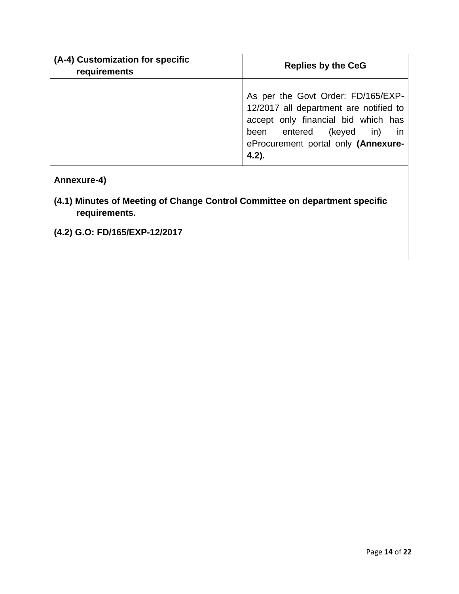| As per the Govt Order: FD/165/EXP-<br>12/2017 all department are notified to<br>accept only financial bid which has<br>(keyed in) in<br>been entered<br>eProcurement portal only (Annexure-<br>$4.2$ ). | (A-4) Customization for specific<br>requirements | <b>Replies by the CeG</b> |
|---------------------------------------------------------------------------------------------------------------------------------------------------------------------------------------------------------|--------------------------------------------------|---------------------------|
|                                                                                                                                                                                                         |                                                  |                           |

#### **Annexure-4)**

- **(4.1) Minutes of Meeting of Change Control Committee on department specific requirements.**
- **(4.2) G.O: FD/165/EXP-12/2017**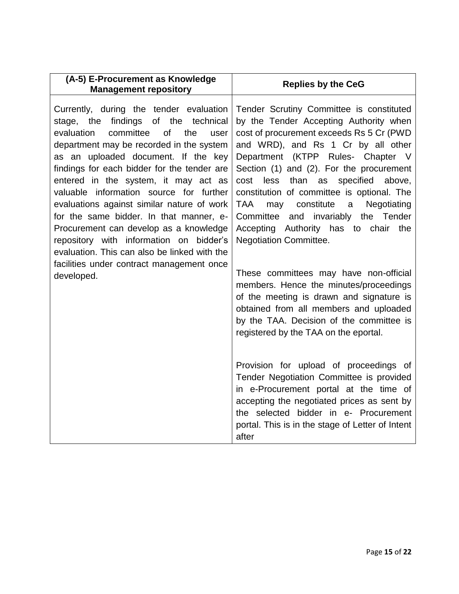| (A-5) E-Procurement as Knowledge<br><b>Management repository</b>                                                                                                                                                                                                                                                                                                                                                                                                                                                                                                                             | <b>Replies by the CeG</b>                                                                                                                                                                                                                                                                                                                                                                                                                                                                                                       |
|----------------------------------------------------------------------------------------------------------------------------------------------------------------------------------------------------------------------------------------------------------------------------------------------------------------------------------------------------------------------------------------------------------------------------------------------------------------------------------------------------------------------------------------------------------------------------------------------|---------------------------------------------------------------------------------------------------------------------------------------------------------------------------------------------------------------------------------------------------------------------------------------------------------------------------------------------------------------------------------------------------------------------------------------------------------------------------------------------------------------------------------|
| Currently, during the tender evaluation<br>findings of the technical<br>stage, the<br>evaluation<br>committee<br><b>of</b><br>the<br>user<br>department may be recorded in the system<br>as an uploaded document. If the key<br>findings for each bidder for the tender are<br>entered in the system, it may act as<br>valuable information source for further<br>evaluations against similar nature of work<br>for the same bidder. In that manner, e-<br>Procurement can develop as a knowledge<br>repository with information on bidder's<br>evaluation. This can also be linked with the | Tender Scrutiny Committee is constituted<br>by the Tender Accepting Authority when<br>cost of procurement exceeds Rs 5 Cr (PWD<br>and WRD), and Rs 1 Cr by all other<br>Department (KTPP Rules- Chapter V<br>Section (1) and (2). For the procurement<br>than<br>less<br>specified<br>above,<br>cost<br>as<br>constitution of committee is optional. The<br>constitute<br><b>TAA</b><br>Negotiating<br>may<br>a<br>Committee and invariably the Tender<br>Accepting Authority has to chair the<br><b>Negotiation Committee.</b> |
| facilities under contract management once<br>developed.                                                                                                                                                                                                                                                                                                                                                                                                                                                                                                                                      | These committees may have non-official<br>members. Hence the minutes/proceedings<br>of the meeting is drawn and signature is<br>obtained from all members and uploaded<br>by the TAA. Decision of the committee is<br>registered by the TAA on the eportal.                                                                                                                                                                                                                                                                     |
|                                                                                                                                                                                                                                                                                                                                                                                                                                                                                                                                                                                              | Provision for upload of proceedings of<br>Tender Negotiation Committee is provided<br>in e-Procurement portal at the time of<br>accepting the negotiated prices as sent by<br>the selected bidder in e- Procurement<br>portal. This is in the stage of Letter of Intent<br>after                                                                                                                                                                                                                                                |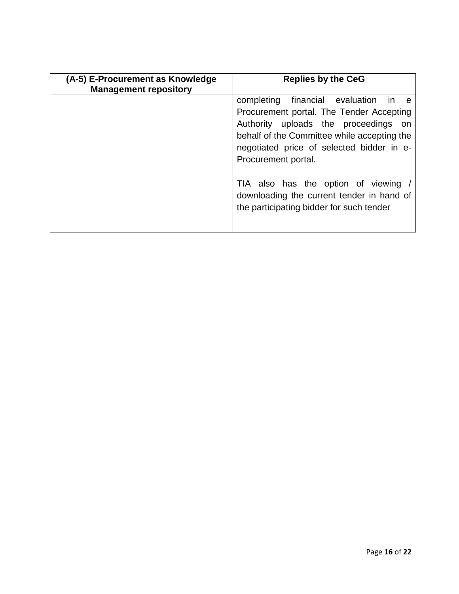| (A-5) E-Procurement as Knowledge<br><b>Management repository</b> | <b>Replies by the CeG</b>                                                                                                                                                                                                                              |
|------------------------------------------------------------------|--------------------------------------------------------------------------------------------------------------------------------------------------------------------------------------------------------------------------------------------------------|
|                                                                  | completing financial evaluation<br>$\mathsf{I}$<br>Procurement portal. The Tender Accepting<br>Authority uploads the proceedings on<br>behalf of the Committee while accepting the<br>negotiated price of selected bidder in e-<br>Procurement portal. |
|                                                                  | TIA also has the option of viewing<br>downloading the current tender in hand of<br>the participating bidder for such tender                                                                                                                            |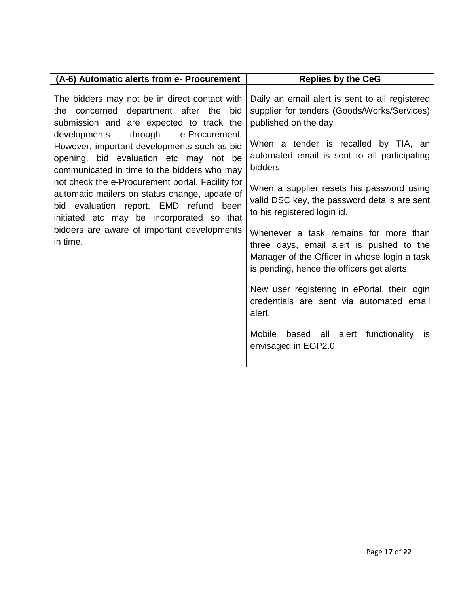| (A-6) Automatic alerts from e- Procurement                                                                                                                                                                                                                                                                                                                                                                                                                                                                                                                                   | <b>Replies by the CeG</b>                                                                                                                                                                                                                                                                                                                                                                                                                                                                                                                                                                                                                                                                                                    |
|------------------------------------------------------------------------------------------------------------------------------------------------------------------------------------------------------------------------------------------------------------------------------------------------------------------------------------------------------------------------------------------------------------------------------------------------------------------------------------------------------------------------------------------------------------------------------|------------------------------------------------------------------------------------------------------------------------------------------------------------------------------------------------------------------------------------------------------------------------------------------------------------------------------------------------------------------------------------------------------------------------------------------------------------------------------------------------------------------------------------------------------------------------------------------------------------------------------------------------------------------------------------------------------------------------------|
| The bidders may not be in direct contact with<br>the concerned department after the bid<br>submission and are expected to track the<br>developments through<br>e-Procurement.<br>However, important developments such as bid<br>opening, bid evaluation etc may not be<br>communicated in time to the bidders who may<br>not check the e-Procurement portal. Facility for<br>automatic mailers on status change, update of<br>bid evaluation report, EMD refund been<br>initiated etc may be incorporated so that<br>bidders are aware of important developments<br>in time. | Daily an email alert is sent to all registered<br>supplier for tenders (Goods/Works/Services)<br>published on the day<br>When a tender is recalled by TIA, an<br>automated email is sent to all participating<br>bidders<br>When a supplier resets his password using<br>valid DSC key, the password details are sent<br>to his registered login id.<br>Whenever a task remains for more than<br>three days, email alert is pushed to the<br>Manager of the Officer in whose login a task<br>is pending, hence the officers get alerts.<br>New user registering in ePortal, their login<br>credentials are sent via automated email<br>alert.<br>based all alert functionality<br>Mobile<br><b>is</b><br>envisaged in EGP2.0 |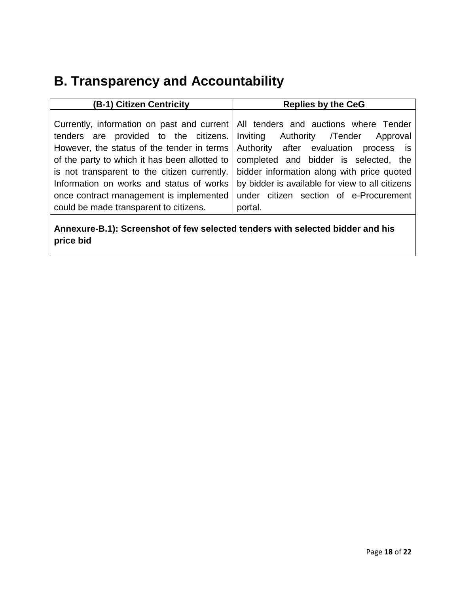### **B. Transparency and Accountability**

| (B-1) Citizen Centricity                                                                                                                                                                                                                                                                                                                                                                                                                        | <b>Replies by the CeG</b>                                                                                                                                                                                                            |
|-------------------------------------------------------------------------------------------------------------------------------------------------------------------------------------------------------------------------------------------------------------------------------------------------------------------------------------------------------------------------------------------------------------------------------------------------|--------------------------------------------------------------------------------------------------------------------------------------------------------------------------------------------------------------------------------------|
| Currently, information on past and current   All tenders and auctions where Tender<br>tenders are provided to the citizens. Inviting Authority /Tender Approval<br>However, the status of the tender in terms<br>of the party to which it has been allotted to<br>is not transparent to the citizen currently.<br>Information on works and status of works<br>once contract management is implemented<br>could be made transparent to citizens. | Authority after evaluation process is<br>completed and bidder is selected, the<br>bidder information along with price quoted<br>by bidder is available for view to all citizens<br>under citizen section of e-Procurement<br>portal. |

#### **Annexure-B.1): Screenshot of few selected tenders with selected bidder and his price bid**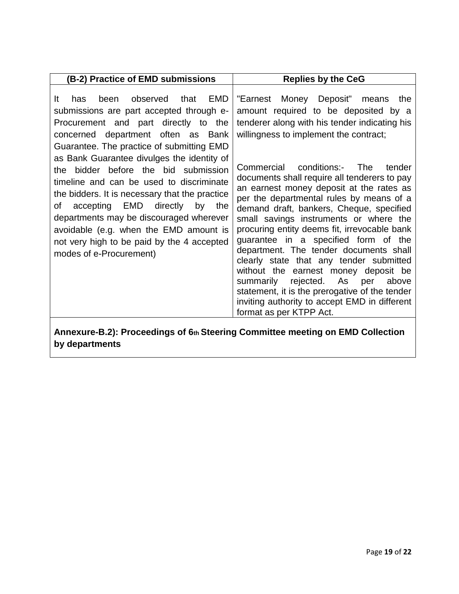| (B-2) Practice of EMD submissions                                                                                                                                                                                                                                                                                                          | <b>Replies by the CeG</b>                                                                                                                                                                                                                                                                                                                                                                                                                                                                                                                                                                                                                                           |
|--------------------------------------------------------------------------------------------------------------------------------------------------------------------------------------------------------------------------------------------------------------------------------------------------------------------------------------------|---------------------------------------------------------------------------------------------------------------------------------------------------------------------------------------------------------------------------------------------------------------------------------------------------------------------------------------------------------------------------------------------------------------------------------------------------------------------------------------------------------------------------------------------------------------------------------------------------------------------------------------------------------------------|
| <b>EMD</b><br>It<br>observed<br>that<br>has<br>been<br>submissions are part accepted through e-<br>Procurement and part directly to the<br>concerned department often as<br><b>Bank</b><br>Guarantee. The practice of submitting EMD<br>as Bank Guarantee divulges the identity of                                                         | "Earnest Money Deposit"<br>means<br>the<br>amount required to be deposited by a<br>tenderer along with his tender indicating his<br>willingness to implement the contract;                                                                                                                                                                                                                                                                                                                                                                                                                                                                                          |
| bidder before the bid submission<br>the<br>timeline and can be used to discriminate<br>the bidders. It is necessary that the practice<br>of accepting EMD directly<br>by the<br>departments may be discouraged wherever<br>avoidable (e.g. when the EMD amount is<br>not very high to be paid by the 4 accepted<br>modes of e-Procurement) | conditions:- The<br>Commercial<br>tender<br>documents shall require all tenderers to pay<br>an earnest money deposit at the rates as<br>per the departmental rules by means of a<br>demand draft, bankers, Cheque, specified<br>small savings instruments or where the<br>procuring entity deems fit, irrevocable bank<br>guarantee in a specified form of the<br>department. The tender documents shall<br>clearly state that any tender submitted<br>without the earnest money deposit be<br>summarily rejected. As<br>above<br>per<br>statement, it is the prerogative of the tender<br>inviting authority to accept EMD in different<br>format as per KTPP Act. |
| $\overline{a}$ $\overline{a}$                                                                                                                                                                                                                                                                                                              | مممو منطلبة<br>د به مراجع                                                                                                                                                                                                                                                                                                                                                                                                                                                                                                                                                                                                                                           |

**Annexure-B.2): Proceedings of 6th Steering Committee meeting on EMD Collection by departments**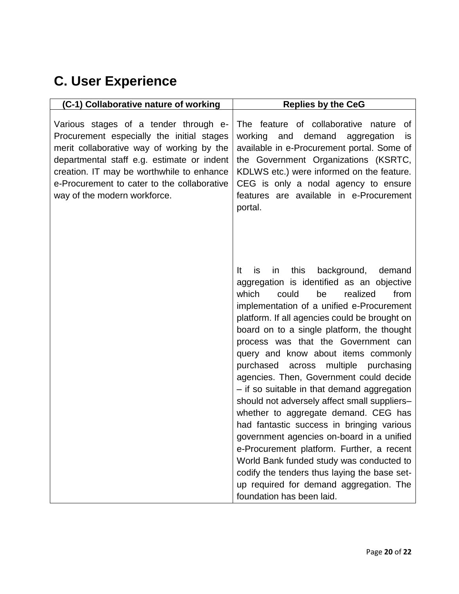### **C. User Experience**

| (C-1) Collaborative nature of working                                                                                                                                                                                                                                                                     | <b>Replies by the CeG</b>                                                                                                                                                                                                                                                                                                                                                                                                                                                                                                                                                                                                                                                                                                                                                                                                                                                                               |
|-----------------------------------------------------------------------------------------------------------------------------------------------------------------------------------------------------------------------------------------------------------------------------------------------------------|---------------------------------------------------------------------------------------------------------------------------------------------------------------------------------------------------------------------------------------------------------------------------------------------------------------------------------------------------------------------------------------------------------------------------------------------------------------------------------------------------------------------------------------------------------------------------------------------------------------------------------------------------------------------------------------------------------------------------------------------------------------------------------------------------------------------------------------------------------------------------------------------------------|
| Various stages of a tender through e-<br>Procurement especially the initial stages<br>merit collaborative way of working by the<br>departmental staff e.g. estimate or indent<br>creation. IT may be worthwhile to enhance<br>e-Procurement to cater to the collaborative<br>way of the modern workforce. | The feature of collaborative nature<br>0f<br>demand<br>working<br>and<br>aggregation<br>is<br>available in e-Procurement portal. Some of<br>the Government Organizations (KSRTC,<br>KDLWS etc.) were informed on the feature.<br>CEG is only a nodal agency to ensure<br>features are available in e-Procurement<br>portal.                                                                                                                                                                                                                                                                                                                                                                                                                                                                                                                                                                             |
|                                                                                                                                                                                                                                                                                                           | this<br>background, demand<br>It<br>is<br>in<br>aggregation is identified as an objective<br>realized<br>which<br>could<br>be<br>from<br>implementation of a unified e-Procurement<br>platform. If all agencies could be brought on<br>board on to a single platform, the thought<br>process was that the Government can<br>query and know about items commonly<br>purchased<br>across multiple purchasing<br>agencies. Then, Government could decide<br>- if so suitable in that demand aggregation<br>should not adversely affect small suppliers-<br>whether to aggregate demand. CEG has<br>had fantastic success in bringing various<br>government agencies on-board in a unified<br>e-Procurement platform. Further, a recent<br>World Bank funded study was conducted to<br>codify the tenders thus laying the base set-<br>up required for demand aggregation. The<br>foundation has been laid. |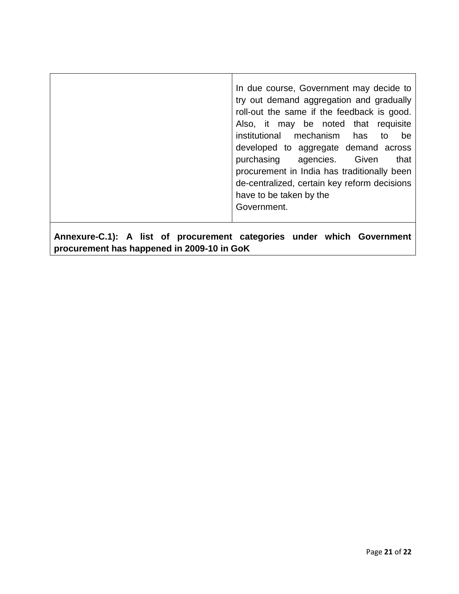|                                                                        | In due course, Government may decide to<br>try out demand aggregation and gradually<br>roll-out the same if the feedback is good.<br>Also, it may be noted that requisite<br>institutional mechanism has<br>to<br>be<br>developed to aggregate demand across<br>purchasing agencies. Given<br>that<br>procurement in India has traditionally been<br>de-centralized, certain key reform decisions<br>have to be taken by the |
|------------------------------------------------------------------------|------------------------------------------------------------------------------------------------------------------------------------------------------------------------------------------------------------------------------------------------------------------------------------------------------------------------------------------------------------------------------------------------------------------------------|
|                                                                        | Government.                                                                                                                                                                                                                                                                                                                                                                                                                  |
| Annexure-C.1): A list of procurement categories under which Government |                                                                                                                                                                                                                                                                                                                                                                                                                              |

**Annexure-C.1): A list of procurement categories under which Government procurement has happened in 2009-10 in GoK**